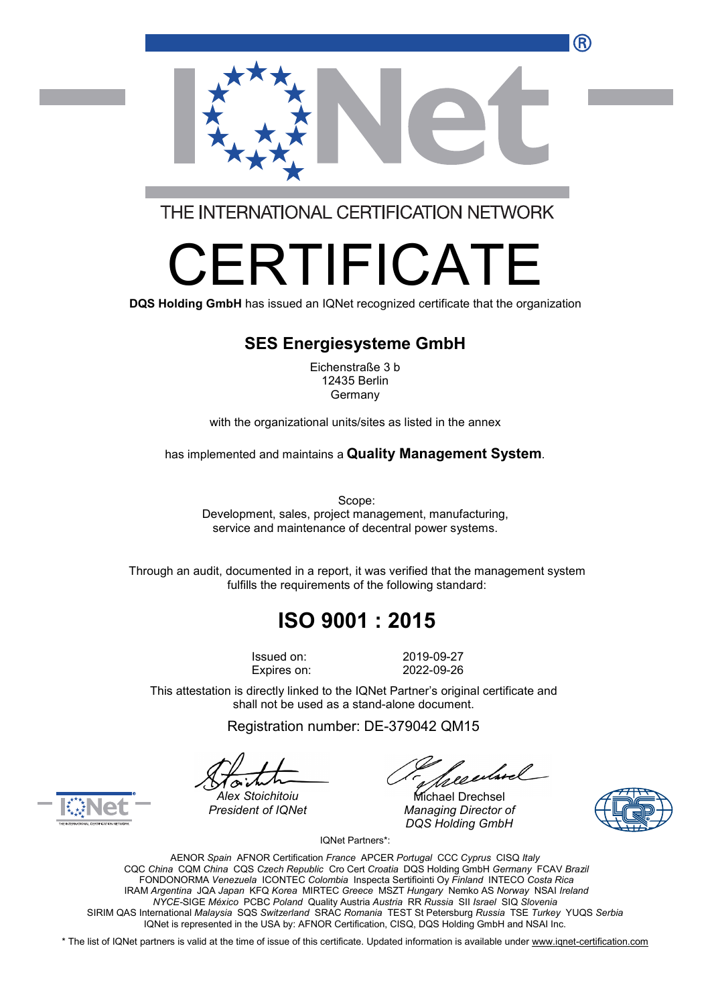

THE INTERNATIONAL CERTIFICATION NETWORK

# RTIFICA

**DQS Holding GmbH** has issued an IQNet recognized certificate that the organization

#### **SES Energiesysteme GmbH**

Eichenstraße 3 b 12435 Berlin Germany

with the organizational units/sites as listed in the annex

has implemented and maintains a **Quality Management System**.

Scope: Development, sales, project management, manufacturing, service and maintenance of decentral power systems.

Through an audit, documented in a report, it was verified that the management system fulfills the requirements of the following standard:

## **ISO 9001 : 2015**

Issued on: 2019-09-27 Expires on: 2022-09-26

This attestation is directly linked to the IQNet Partner's original certificate and shall not be used as a stand-alone document.

Registration number: DE-379042 QM15

*President of IQNet Managing Director of DQS Holding GmbH*





*Alex Stoichitoiu* Michael Drechsel

IQNet Partners\*:

AENOR *Spain* AFNOR Certification *France* APCER *Portugal* CCC *Cyprus* CISQ *Italy* CQC *China* CQM *China* CQS *Czech Republic* Cro Cert *Croatia* DQS Holding GmbH *Germany* FCAV *Brazil* FONDONORMA *Venezuela* ICONTEC *Colombia* Inspecta Sertifiointi Oy *Finland* INTECO *Costa Rica* IRAM *Argentina* JQA *Japan* KFQ *Korea* MIRTEC *Greece* MSZT *Hungary* Nemko AS *Norway* NSAI *Ireland NYCE-*SIGE *México* PCBC *Poland* Quality Austria *Austria* RR *Russia* SII *Israel* SIQ *Slovenia* SIRIM QAS International *Malaysia* SQS *Switzerland* SRAC *Romania* TEST St Petersburg *Russia* TSE *Turkey* YUQS *Serbia* IQNet is represented in the USA by: AFNOR Certification, CISQ, DQS Holding GmbH and NSAI Inc.

\* The list of IQNet partners is valid at the time of issue of this certificate. Updated information is available under [www.iqnet-certification.com](http://www.iqnet-certification.com)